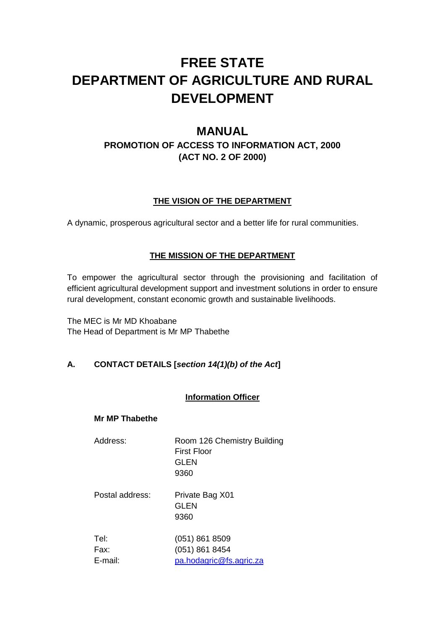# **FREE STATE DEPARTMENT OF AGRICULTURE AND RURAL DEVELOPMENT**

# **MANUAL**

# **PROMOTION OF ACCESS TO INFORMATION ACT, 2000 (ACT NO. 2 OF 2000)**

# **THE VISION OF THE DEPARTMENT**

A dynamic, prosperous agricultural sector and a better life for rural communities.

# **THE MISSION OF THE DEPARTMENT**

To empower the agricultural sector through the provisioning and facilitation of efficient agricultural development support and investment solutions in order to ensure rural development, constant economic growth and sustainable livelihoods.

The MEC is Mr MD Khoabane The Head of Department is Mr MP Thabethe

# **A. CONTACT DETAILS [***section 14(1)(b) of the Act***]**

#### **Information Officer**

#### **Mr MP Thabethe**

| Address:                | Room 126 Chemistry Building<br>First Floor<br>GLEN<br>9360    |
|-------------------------|---------------------------------------------------------------|
| Postal address:         | Private Bag X01<br>GLEN<br>9360                               |
| Tel:<br>Fax:<br>E-mail: | $(051)$ 861 8509<br>(051) 861 8454<br>pa.hodagric@fs.agric.za |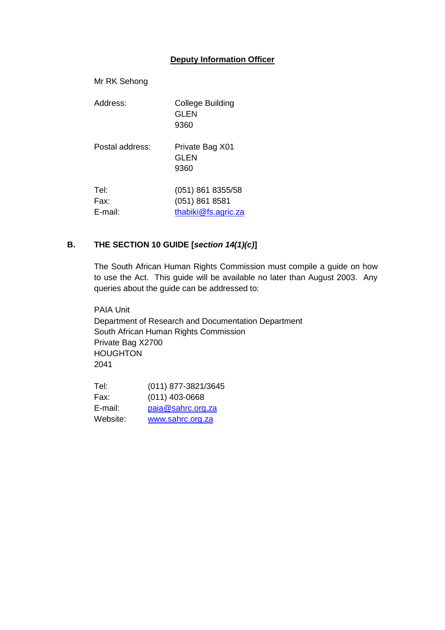#### **Deputy Information Officer**

| Mr RK Sehong            |                                                            |
|-------------------------|------------------------------------------------------------|
| Address:                | College Building<br>GLEN<br>9360                           |
| Postal address:         | Private Bag X01<br>GLEN<br>9360                            |
| Tel:<br>Fax:<br>E-mail: | (051) 861 8355/58<br>(051) 861 8581<br>thabiki@fs.agric.za |

### **B. THE SECTION 10 GUIDE [***section 14(1)(c)***]**

The South African Human Rights Commission must compile a guide on how to use the Act. This guide will be available no later than August 2003. Any queries about the guide can be addressed to:

PAIA Unit Department of Research and Documentation Department South African Human Rights Commission Private Bag X2700 **HOUGHTON** 2041

| Tel:     | (011) 877-3821/3645 |
|----------|---------------------|
| Fax:     | $(011)$ 403-0668    |
| E-mail:  | paia@sahrc.org.za   |
| Website: | www.sahrc.org.za    |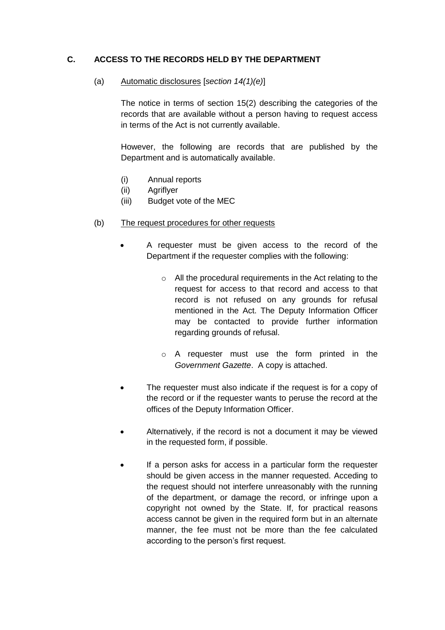#### **C. ACCESS TO THE RECORDS HELD BY THE DEPARTMENT**

#### (a) Automatic disclosures [*section 14(1)(e)*]

The notice in terms of section 15(2) describing the categories of the records that are available without a person having to request access in terms of the Act is not currently available.

However, the following are records that are published by the Department and is automatically available.

- (i) Annual reports
- (ii) Agriflyer
- (iii) Budget vote of the MEC
- (b) The request procedures for other requests
	- A requester must be given access to the record of the Department if the requester complies with the following:
		- o All the procedural requirements in the Act relating to the request for access to that record and access to that record is not refused on any grounds for refusal mentioned in the Act. The Deputy Information Officer may be contacted to provide further information regarding grounds of refusal.
		- o A requester must use the form printed in the *Government Gazette*. A copy is attached.
	- The requester must also indicate if the request is for a copy of the record or if the requester wants to peruse the record at the offices of the Deputy Information Officer.
	- Alternatively, if the record is not a document it may be viewed in the requested form, if possible.
	- If a person asks for access in a particular form the requester should be given access in the manner requested. Acceding to the request should not interfere unreasonably with the running of the department, or damage the record, or infringe upon a copyright not owned by the State. If, for practical reasons access cannot be given in the required form but in an alternate manner, the fee must not be more than the fee calculated according to the person's first request.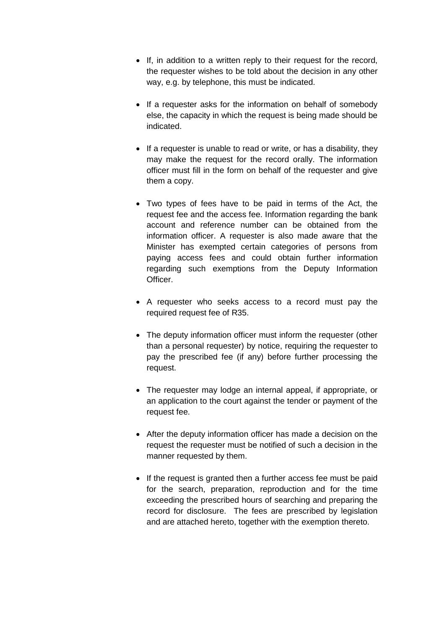- If, in addition to a written reply to their request for the record, the requester wishes to be told about the decision in any other way, e.g. by telephone, this must be indicated.
- If a requester asks for the information on behalf of somebody else, the capacity in which the request is being made should be indicated.
- If a requester is unable to read or write, or has a disability, they may make the request for the record orally. The information officer must fill in the form on behalf of the requester and give them a copy.
- Two types of fees have to be paid in terms of the Act, the request fee and the access fee. Information regarding the bank account and reference number can be obtained from the information officer. A requester is also made aware that the Minister has exempted certain categories of persons from paying access fees and could obtain further information regarding such exemptions from the Deputy Information Officer.
- A requester who seeks access to a record must pay the required request fee of R35.
- The deputy information officer must inform the requester (other than a personal requester) by notice, requiring the requester to pay the prescribed fee (if any) before further processing the request.
- The requester may lodge an internal appeal, if appropriate, or an application to the court against the tender or payment of the request fee.
- After the deputy information officer has made a decision on the request the requester must be notified of such a decision in the manner requested by them.
- If the request is granted then a further access fee must be paid for the search, preparation, reproduction and for the time exceeding the prescribed hours of searching and preparing the record for disclosure. The fees are prescribed by legislation and are attached hereto, together with the exemption thereto.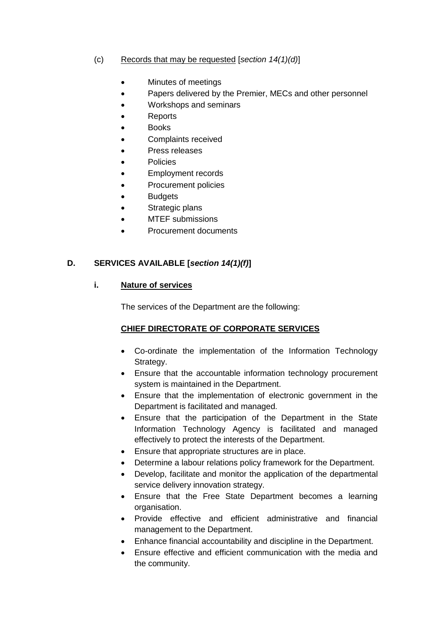#### (c) Records that may be requested [*section 14(1)(d)*]

- Minutes of meetings
- Papers delivered by the Premier, MECs and other personnel
- Workshops and seminars
- Reports
- Books
- Complaints received
- Press releases
- Policies
- Employment records
- Procurement policies
- Budgets
- Strategic plans
- MTEF submissions
- Procurement documents

#### **D. SERVICES AVAILABLE [***section 14(1)(f)***]**

#### **i. Nature of services**

The services of the Department are the following:

#### **CHIEF DIRECTORATE OF CORPORATE SERVICES**

- Co-ordinate the implementation of the Information Technology Strategy.
- Ensure that the accountable information technology procurement system is maintained in the Department.
- Ensure that the implementation of electronic government in the Department is facilitated and managed.
- Ensure that the participation of the Department in the State Information Technology Agency is facilitated and managed effectively to protect the interests of the Department.
- Ensure that appropriate structures are in place.
- Determine a labour relations policy framework for the Department.
- Develop, facilitate and monitor the application of the departmental service delivery innovation strategy.
- Ensure that the Free State Department becomes a learning organisation.
- Provide effective and efficient administrative and financial management to the Department.
- Enhance financial accountability and discipline in the Department.
- Ensure effective and efficient communication with the media and the community.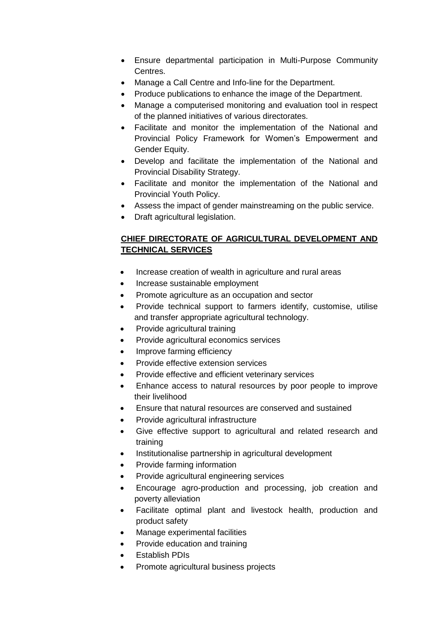- Ensure departmental participation in Multi-Purpose Community Centres.
- Manage a Call Centre and Info-line for the Department.
- Produce publications to enhance the image of the Department.
- Manage a computerised monitoring and evaluation tool in respect of the planned initiatives of various directorates.
- Facilitate and monitor the implementation of the National and Provincial Policy Framework for Women's Empowerment and Gender Equity.
- Develop and facilitate the implementation of the National and Provincial Disability Strategy.
- Facilitate and monitor the implementation of the National and Provincial Youth Policy.
- Assess the impact of gender mainstreaming on the public service.
- Draft agricultural legislation.

# **CHIEF DIRECTORATE OF AGRICULTURAL DEVELOPMENT AND TECHNICAL SERVICES**

- Increase creation of wealth in agriculture and rural areas
- Increase sustainable employment
- Promote agriculture as an occupation and sector
- Provide technical support to farmers identify, customise, utilise and transfer appropriate agricultural technology.
- Provide agricultural training
- Provide agricultural economics services
- Improve farming efficiency
- Provide effective extension services
- Provide effective and efficient veterinary services
- Enhance access to natural resources by poor people to improve their livelihood
- Ensure that natural resources are conserved and sustained
- Provide agricultural infrastructure
- Give effective support to agricultural and related research and training
- Institutionalise partnership in agricultural development
- Provide farming information
- Provide agricultural engineering services
- Encourage agro-production and processing, job creation and poverty alleviation
- Facilitate optimal plant and livestock health, production and product safety
- Manage experimental facilities
- Provide education and training
- Establish PDIs
- Promote agricultural business projects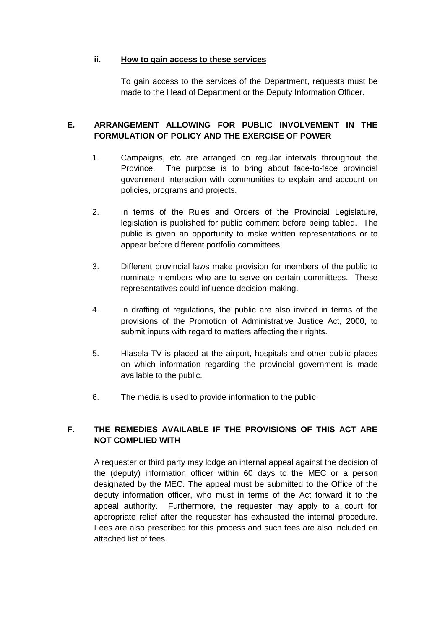#### **ii. How to gain access to these services**

To gain access to the services of the Department, requests must be made to the Head of Department or the Deputy Information Officer.

#### **E. ARRANGEMENT ALLOWING FOR PUBLIC INVOLVEMENT IN THE FORMULATION OF POLICY AND THE EXERCISE OF POWER**

- 1. Campaigns, etc are arranged on regular intervals throughout the Province. The purpose is to bring about face-to-face provincial government interaction with communities to explain and account on policies, programs and projects.
- 2. In terms of the Rules and Orders of the Provincial Legislature, legislation is published for public comment before being tabled. The public is given an opportunity to make written representations or to appear before different portfolio committees.
- 3. Different provincial laws make provision for members of the public to nominate members who are to serve on certain committees. These representatives could influence decision-making.
- 4. In drafting of regulations, the public are also invited in terms of the provisions of the Promotion of Administrative Justice Act, 2000, to submit inputs with regard to matters affecting their rights.
- 5. Hlasela-TV is placed at the airport, hospitals and other public places on which information regarding the provincial government is made available to the public.
- 6. The media is used to provide information to the public.

#### **F. THE REMEDIES AVAILABLE IF THE PROVISIONS OF THIS ACT ARE NOT COMPLIED WITH**

A requester or third party may lodge an internal appeal against the decision of the (deputy) information officer within 60 days to the MEC or a person designated by the MEC. The appeal must be submitted to the Office of the deputy information officer, who must in terms of the Act forward it to the appeal authority. Furthermore, the requester may apply to a court for appropriate relief after the requester has exhausted the internal procedure. Fees are also prescribed for this process and such fees are also included on attached list of fees.